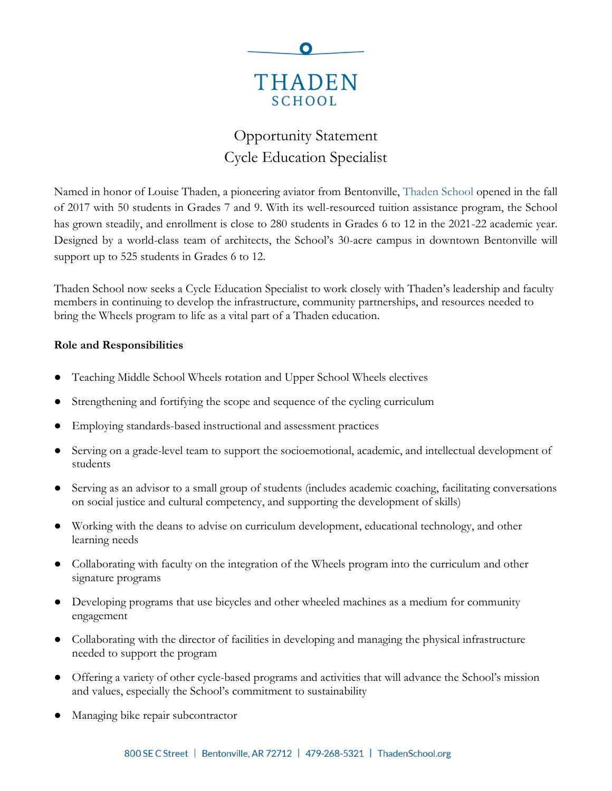

# Opportunity Statement Cycle Education Specialist

Named in honor of Louise Thaden, a pioneering aviator from Bentonville, [Thaden School](https://thadenschool.org/) opened in the fall of 2017 with 50 students in Grades 7 and 9. With its well-resourced tuition assistance program, the School has grown steadily, and enrollment is close to 280 students in Grades 6 to 12 in the 2021-22 academic year. Designed by a world-class team of architects, the School's 30-acre campus in downtown Bentonville will support up to 525 students in Grades 6 to 12.

Thaden School now seeks a Cycle Education Specialist to work closely with Thaden's leadership and faculty members in continuing to develop the infrastructure, community partnerships, and resources needed to bring the Wheels program to life as a vital part of a Thaden education.

### **Role and Responsibilities**

- Teaching Middle School Wheels rotation and Upper School Wheels electives
- Strengthening and fortifying the scope and sequence of the cycling curriculum
- Employing standards-based instructional and assessment practices
- Serving on a grade-level team to support the socioemotional, academic, and intellectual development of students
- Serving as an advisor to a small group of students (includes academic coaching, facilitating conversations on social justice and cultural competency, and supporting the development of skills)
- Working with the deans to advise on curriculum development, educational technology, and other learning needs
- Collaborating with faculty on the integration of the Wheels program into the curriculum and other signature programs
- Developing programs that use bicycles and other wheeled machines as a medium for community engagement
- Collaborating with the director of facilities in developing and managing the physical infrastructure needed to support the program
- Offering a variety of other cycle-based programs and activities that will advance the School's mission and values, especially the School's commitment to sustainability
- Managing bike repair subcontractor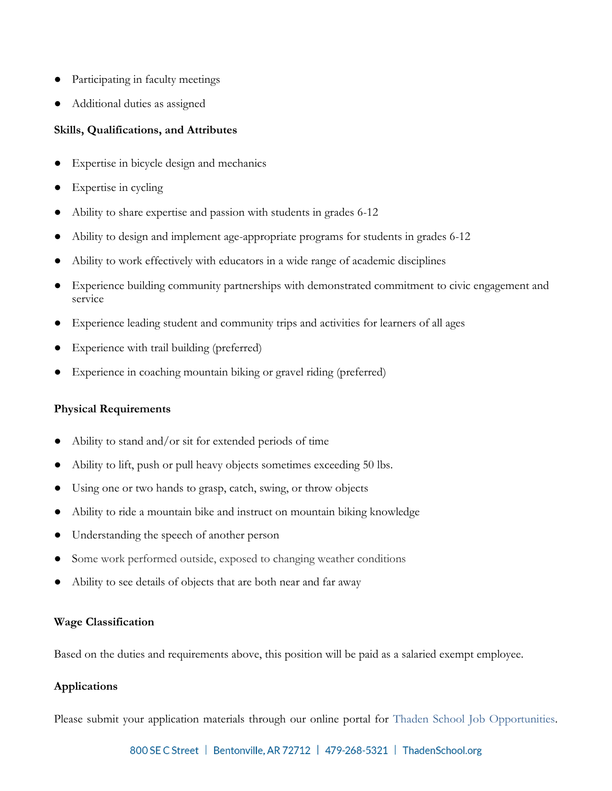- Participating in faculty meetings
- Additional duties as assigned

# **Skills, Qualifications, and Attributes**

- Expertise in bicycle design and mechanics
- Expertise in cycling
- Ability to share expertise and passion with students in grades 6-12
- Ability to design and implement age-appropriate programs for students in grades 6-12
- Ability to work effectively with educators in a wide range of academic disciplines
- Experience building community partnerships with demonstrated commitment to civic engagement and service
- Experience leading student and community trips and activities for learners of all ages
- Experience with trail building (preferred)
- Experience in coaching mountain biking or gravel riding (preferred)

# **Physical Requirements**

- Ability to stand and/or sit for extended periods of time
- Ability to lift, push or pull heavy objects sometimes exceeding 50 lbs.
- Using one or two hands to grasp, catch, swing, or throw objects
- Ability to ride a mountain bike and instruct on mountain biking knowledge
- Understanding the speech of another person
- Some work performed outside, exposed to changing weather conditions
- Ability to see details of objects that are both near and far away

# **Wage Classification**

Based on the duties and requirements above, this position will be paid as a salaried exempt employee.

# **Applications**

Please submit your application materials through our online portal for [Thaden School Job Opportunities.](https://www.paycomonline.net/v4/ats/web.php/jobs?clientkey=E412B6EED165D3FD16DB0FF91E74B10C&session_nonce=915852c58367eb064b1ae3ce5464ff79)